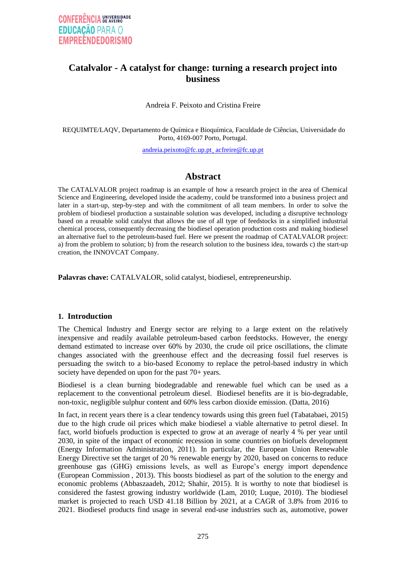## **Catalvalor - A catalyst for change: turning a research project into business**

Andreia F. Peixoto and Cristina Freire

REQUIMTE/LAQV, Departamento de Química e Bioquímica, Faculdade de Ciências, Universidade do Porto, 4169-007 Porto, Portugal.

andreia.peixoto@fc.up.pt¸ acfreire@fc.up.pt

## **Abstract**

The CATALVALOR project roadmap is an example of how a research project in the area of Chemical Science and Engineering, developed inside the academy, could be transformed into a business project and later in a start-up, step-by-step and with the commitment of all team members. In order to solve the problem of biodiesel production a sustainable solution was developed, including a disruptive technology based on a reusable solid catalyst that allows the use of all type of feedstocks in a simplified industrial chemical process, consequently decreasing the biodiesel operation production costs and making biodiesel an alternative fuel to the petroleum-based fuel. Here we present the roadmap of CATALVALOR project: a) from the problem to solution; b) from the research solution to the business idea, towards c) the start-up creation, the INNOVCAT Company.

**Palavras chave:** CATALVALOR, solid catalyst, biodiesel, entrepreneurship.

#### **1. Introduction**

The Chemical Industry and Energy sector are relying to a large extent on the relatively inexpensive and readily available petroleum-based carbon feedstocks. However, the energy demand estimated to increase over 60% by 2030, the crude oil price oscillations, the climate changes associated with the greenhouse effect and the decreasing fossil fuel reserves is persuading the switch to a bio-based Economy to replace the petrol-based industry in which society have depended on upon for the past 70+ years.

Biodiesel is a clean burning biodegradable and renewable fuel which can be used as a replacement to the conventional petroleum diesel. Biodiesel benefits are it is bio-degradable, non-toxic, negligible sulphur content and 60% less carbon dioxide emission. (Datta, 2016)

In fact, in recent years there is a clear tendency towards using this green fuel (Tabatabaei, 2015) due to the high crude oil prices which make biodiesel a viable alternative to petrol diesel. In fact, world biofuels production is expected to grow at an average of nearly 4 % per year until 2030, in spite of the impact of economic recession in some countries on biofuels development (Energy Information Administration, 2011). In particular, the European Union Renewable Energy Directive set the target of 20 % renewable energy by 2020, based on concerns to reduce greenhouse gas (GHG) emissions levels, as well as Europe's energy import dependence (European Commission , 2013). This boosts biodiesel as part of the solution to the energy and economic problems (Abbaszaadeh, 2012; Shahir, 2015). It is worthy to note that biodiesel is considered the fastest growing industry worldwide (Lam, 2010; Luque, 2010). The biodiesel market is projected to reach USD 41.18 Billion by 2021, at a CAGR of 3.8% from 2016 to 2021. Biodiesel products find usage in several end-use industries such as, automotive, power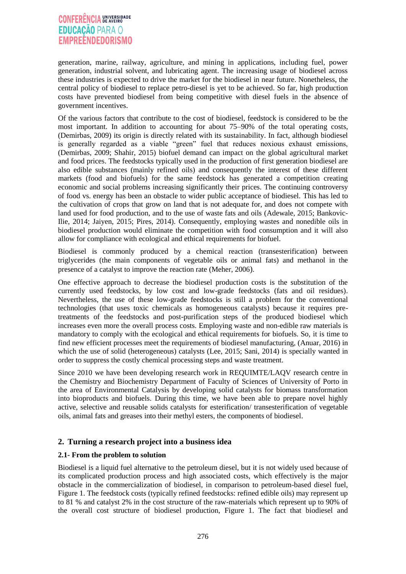# **CONFERÊNCIA UNIVERSIDADE EDUCAÇÃO PARA O EMPREENDEDORISMO**

generation, marine, railway, agriculture, and mining in applications, including fuel, power generation, industrial solvent, and lubricating agent. The increasing usage of biodiesel across these industries is expected to drive the market for the biodiesel in near future. Nonetheless, the central policy of biodiesel to replace petro-diesel is yet to be achieved. So far, high production costs have prevented biodiesel from being competitive with diesel fuels in the absence of government incentives.

Of the various factors that contribute to the cost of biodiesel, feedstock is considered to be the most important. In addition to accounting for about 75–90% of the total operating costs, (Demirbas, 2009) its origin is directly related with its sustainability. In fact, although biodiesel is generally regarded as a viable "green" fuel that reduces noxious exhaust emissions, (Demirbas, 2009; Shahir, 2015) biofuel demand can impact on the global agricultural market and food prices. The feedstocks typically used in the production of first generation biodiesel are also edible substances (mainly refined oils) and consequently the interest of these different markets (food and biofuels) for the same feedstock has generated a competition creating economic and social problems increasing significantly their prices. The continuing controversy of food vs. energy has been an obstacle to wider public acceptance of biodiesel. This has led to the cultivation of crops that grow on land that is not adequate for, and does not compete with land used for food production, and to the use of waste fats and oils (Adewale, 2015; Bankovic-Ilie, 2014; Jaiyen, 2015; Pires, 2014). Consequently, employing wastes and nonedible oils in biodiesel production would eliminate the competition with food consumption and it will also allow for compliance with ecological and ethical requirements for biofuel.

Biodiesel is commonly produced by a chemical reaction (transesterification) between triglycerides (the main components of vegetable oils or animal fats) and methanol in the presence of a catalyst to improve the reaction rate (Meher, 2006).

One effective approach to decrease the biodiesel production costs is the substitution of the currently used feedstocks, by low cost and low-grade feedstocks (fats and oil residues). Nevertheless, the use of these low-grade feedstocks is still a problem for the conventional technologies (that uses toxic chemicals as homogeneous catalysts) because it requires pretreatments of the feedstocks and post-purification steps of the produced biodiesel which increases even more the overall process costs. Employing waste and non-edible raw materials is mandatory to comply with the ecological and ethical requirements for biofuels. So, it is time to find new efficient processes meet the requirements of biodiesel manufacturing, (Anuar, 2016) in which the use of solid (heterogeneous) catalysts (Lee, 2015; Sani, 2014) is specially wanted in order to suppress the costly chemical processing steps and waste treatment.

Since 2010 we have been developing research work in REQUIMTE/LAQV research centre in the Chemistry and Biochemistry Department of Faculty of Sciences of University of Porto in the area of Environmental Catalysis by developing solid catalysts for biomass transformation into bioproducts and biofuels. During this time, we have been able to prepare novel highly active, selective and reusable solids catalysts for esterification/ transesterification of vegetable oils, animal fats and greases into their methyl esters, the components of biodiesel.

## **2. Turning a research project into a business idea**

#### **2.1- From the problem to solution**

Biodiesel is a liquid fuel alternative to the petroleum diesel, but it is not widely used because of its complicated production process and high associated costs, which effectively is the major obstacle in the commercialization of biodiesel, in comparison to petroleum-based diesel fuel, Figure 1. The feedstock costs (typically refined feedstocks: refined edible oils) may represent up to 81 % and catalyst 2% in the cost structure of the raw-materials which represent up to 90% of the overall cost structure of biodiesel production, Figure 1. The fact that biodiesel and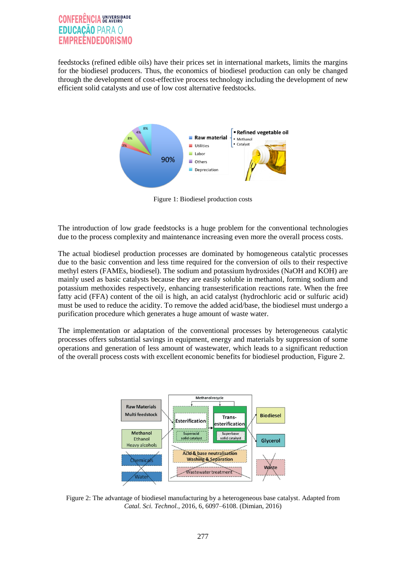# **CONFERÊNCIA ENIVERSIDADE** ICACÃO PARA O

feedstocks (refined edible oils) have their prices set in international markets, limits the margins for the biodiesel producers. Thus, the economics of biodiesel production can only be changed through the development of cost-effective process technology including the development of new efficient solid catalysts and use of low cost alternative feedstocks.



Figure 1: Biodiesel production costs

The introduction of low grade feedstocks is a huge problem for the conventional technologies due to the process complexity and maintenance increasing even more the overall process costs.

The actual biodiesel production processes are dominated by homogeneous catalytic processes due to the basic convention and less time required for the conversion of oils to their respective methyl esters (FAMEs, biodiesel). The sodium and potassium hydroxides (NaOH and KOH) are mainly used as basic catalysts because they are easily soluble in methanol, forming sodium and potassium methoxides respectively, enhancing transesterification reactions rate. When the free fatty acid (FFA) content of the oil is high, an acid catalyst (hydrochloric acid or sulfuric acid) must be used to reduce the acidity. To remove the added acid/base, the biodiesel must undergo a purification procedure which generates a huge amount of waste water.

The implementation or adaptation of the conventional processes by heterogeneous catalytic processes offers substantial savings in equipment, energy and materials by suppression of some operations and generation of less amount of wastewater, which leads to a significant reduction of the overall process costs with excellent economic benefits for biodiesel production, Figure 2.



Figure 2: The advantage of biodiesel manufacturing by a heterogeneous base catalyst. Adapted from *Catal. Sci. Technol.*, 2016, 6, 6097–6108. (Dimian, 2016)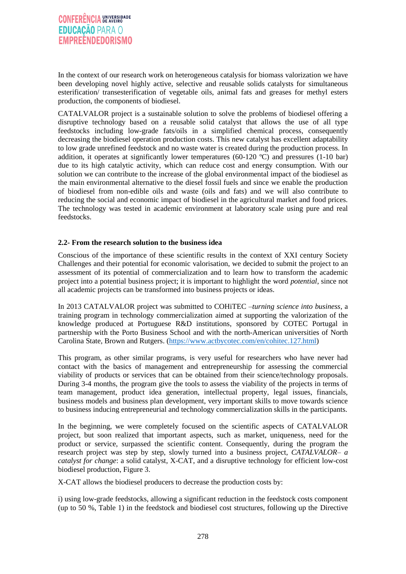In the context of our research work on heterogeneous catalysis for biomass valorization we have been developing novel highly active, selective and reusable solids catalysts for simultaneous esterification/ transesterification of vegetable oils, animal fats and greases for methyl esters production, the components of biodiesel.

CATALVALOR project is a sustainable solution to solve the problems of biodiesel offering a disruptive technology based on a reusable solid catalyst that allows the use of all type feedstocks including low-grade fats/oils in a simplified chemical process, consequently decreasing the biodiesel operation production costs. This new catalyst has excellent adaptability to low grade unrefined feedstock and no waste water is created during the production process. In addition, it operates at significantly lower temperatures (60-120 ºC) and pressures (1-10 bar) due to its high catalytic activity, which can reduce cost and energy consumption. With our solution we can contribute to the increase of the global environmental impact of the biodiesel as the main environmental alternative to the diesel fossil fuels and since we enable the production of biodiesel from non-edible oils and waste (oils and fats) and we will also contribute to reducing the social and economic impact of biodiesel in the agricultural market and food prices. The technology was tested in academic environment at laboratory scale using pure and real feedstocks.

#### **2.2- From the research solution to the business idea**

Conscious of the importance of these scientific results in the context of XXI century Society Challenges and their potential for economic valorisation, we decided to submit the project to an assessment of its potential of commercialization and to learn how to transform the academic project into a potential business project; it is important to highlight the word *potential*, since not all academic projects can be transformed into business projects or ideas.

In 2013 CATALVALOR project was submitted to COHiTEC –*turning science into business*, a training program in technology commercialization aimed at supporting the valorization of the knowledge produced at Portuguese R&D institutions, sponsored by COTEC Portugal in partnership with the Porto Business School and with the north-American universities of North Carolina State, Brown and Rutgers. [\(https://www.actbycotec.com/en/cohitec.127.html\)](https://www.actbycotec.com/en/cohitec.127.html)

This program, as other similar programs, is very useful for researchers who have never had contact with the basics of management and entrepreneurship for assessing the commercial viability of products or services that can be obtained from their science/technology proposals. During 3-4 months, the program give the tools to assess the viability of the projects in terms of team management, product idea generation, intellectual property, legal issues, financials, business models and business plan development, very important skills to move towards science to business inducing entrepreneurial and technology commercialization skills in the participants.

In the beginning, we were completely focused on the scientific aspects of CATALVALOR project, but soon realized that important aspects, such as market, uniqueness, need for the product or service, surpassed the scientific content. Consequently, during the program the research project was step by step, slowly turned into a business project, *CATALVALOR– a catalyst for change*: a solid catalyst, X-CAT, and a disruptive technology for efficient low-cost biodiesel production, Figure 3.

X-CAT allows the biodiesel producers to decrease the production costs by:

i) using low-grade feedstocks, allowing a significant reduction in the feedstock costs component (up to 50 %, Table 1) in the feedstock and biodiesel cost structures, following up the Directive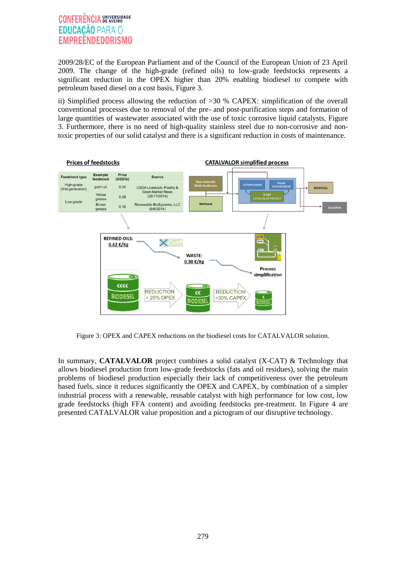# **CONFERÊNCIA UNIVERSIDADE EDUCAÇÃO PARA O EMPREENDEDORISMO**

2009/28/EC of the European Parliament and of the Council of the European Union of 23 April 2009. The change of the high-grade (refined oils) to low-grade feedstocks represents a significant reduction in the OPEX higher than 20% enabling biodiesel to compete with petroleum based diesel on a cost basis, Figure 3.

ii) Simplified process allowing the reduction of >30 % CAPEX: simplification of the overall conventional processes due to removal of the pre- and post-purification steps and formation of large quantities of wastewater associated with the use of toxic corrosive liquid catalysts, Figure 3. Furthermore, there is no need of high-quality stainless steel due to non-corrosive and nontoxic properties of our solid catalyst and there is a significant reduction in costs of maintenance.



Figure 3: OPEX and CAPEX reductions on the biodiesel costs for CATALVALOR solution.

In summary, **CATALVALOR** project combines a solid catalyst (X-CAT) & Technology that allows biodiesel production from low-grade feedstocks (fats and oil residues), solving the main problems of biodiesel production especially their lack of competitiveness over the petroleum based fuels, since it reduces significantly the OPEX and CAPEX, by combination of a simpler industrial process with a renewable, reusable catalyst with high performance for low cost, low grade feedstocks (high FFA content) and avoiding feedstocks pre-treatment. In Figure 4 are presented CATALVALOR value proposition and a pictogram of our disruptive technology.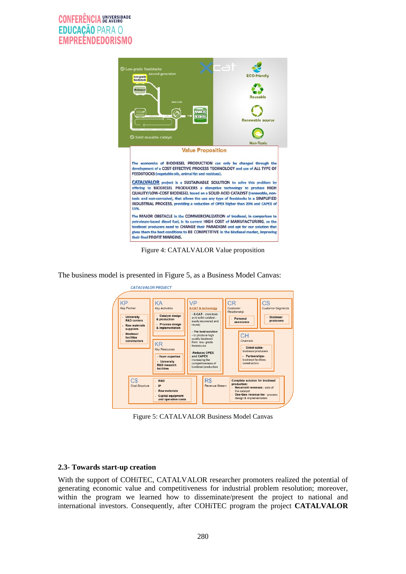

Figure 4: CATALVALOR Value proposition

The business model is presented in Figure 5, as a Business Model Canvas:



Figure 5: CATALVALOR Business Model Canvas

#### **2.3- Towards start-up creation**

With the support of COHiTEC, CATALVALOR researcher promoters realized the potential of generating economic value and competitiveness for industrial problem resolution; moreover, within the program we learned how to disseminate/present the project to national and international investors. Consequently, after COHiTEC program the project **CATALVALOR**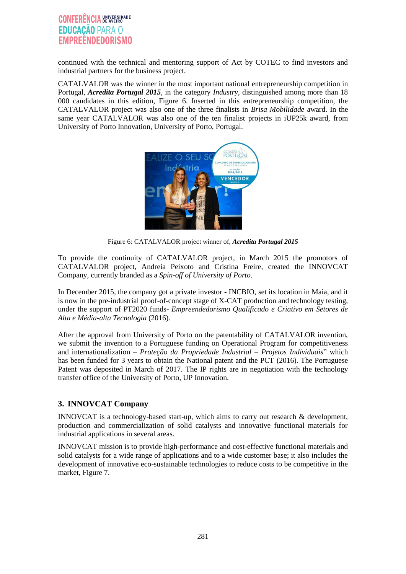## **CONFERÊNCIA ENIVERSIDADE EDUCACÃO PARA O EMPREENDEDORISMO**

continued with the technical and mentoring support of Act by COTEC to find investors and industrial partners for the business project.

CATALVALOR was the winner in the most important national entrepreneurship competition in Portugal, *Acredita Portugal 2015,* in the category *Industry,* distinguished among more than 18 000 candidates in this edition, Figure 6. Inserted in this entrepreneurship competition, the CATALVALOR project was also one of the three finalists in *Brisa Mobilidade* award. In the same year CATALVALOR was also one of the ten finalist projects in iUP25k award, from University of Porto Innovation, University of Porto, Portugal.



Figure 6: CATALVALOR project winner of, *Acredita Portugal 2015*

To provide the continuity of CATALVALOR project, in March 2015 the promotors of CATALVALOR project, Andreia Peixoto and Cristina Freire, created the INNOVCAT Company, currently branded as a *Spin-off of University of Porto*.

In December 2015, the company got a private investor - INCBIO, set its location in Maia, and it is now in the pre-industrial proof-of-concept stage of X-CAT production and technology testing, under the support of PT2020 funds- *Empreendedorismo Qualificado e Criativo em Setores de Alta e Média-alta Tecnologia* (2016).

After the approval from University of Porto on the patentability of CATALVALOR invention, we submit the invention to a Portuguese funding on Operational Program for competitiveness and internationalization – *Proteção da Propriedade Industrial – Projetos Individuais*" which has been funded for 3 years to obtain the National patent and the PCT (2016). The Portuguese Patent was deposited in March of 2017. The IP rights are in negotiation with the technology transfer office of the University of Porto, UP Innovation.

## **3. INNOVCAT Company**

INNOVCAT is a technology-based start-up, which aims to carry out research & development, production and commercialization of solid catalysts and innovative functional materials for industrial applications in several areas.

INNOVCAT mission is to provide high-performance and cost-effective functional materials and solid catalysts for a wide range of applications and to a wide customer base; it also includes the development of innovative eco-sustainable technologies to reduce costs to be competitive in the market, Figure 7.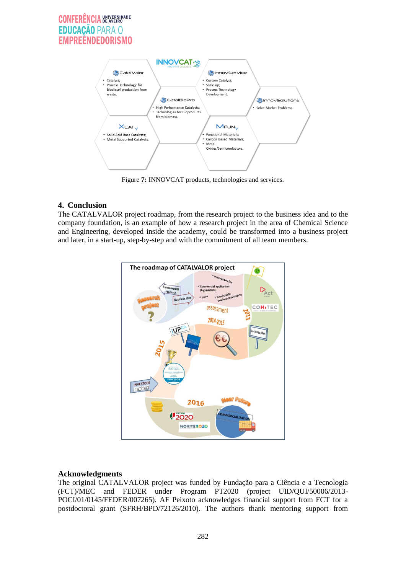# **CONFERÊNCIA UNIVERSIDADE** UCACÃO PARA O **EMPREENDEDORISMO**



Figure **7:** INNOVCAT products, technologies and services.

### **4. Conclusion**

The CATALVALOR project roadmap, from the research project to the business idea and to the company foundation, is an example of how a research project in the area of Chemical Science and Engineering, developed inside the academy, could be transformed into a business project and later, in a start-up, step-by-step and with the commitment of all team members.



## **Acknowledgments**

The original CATALVALOR project was funded by Fundação para a Ciência e a Tecnologia (FCT)/MEC and FEDER under Program PT2020 (project UID/QUI/50006/2013- POCI/01/0145/FEDER/007265). AF Peixoto acknowledges financial support from FCT for a postdoctoral grant (SFRH/BPD/72126/2010). The authors thank mentoring support from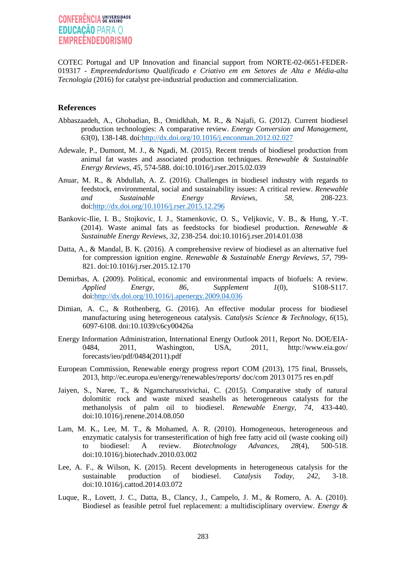# **CONFERÊNCIA UNIVERSIDADE EDUCAÇÃO PARA O EMPREENDEDORISMO**

COTEC Portugal and UP Innovation and financial support from NORTE-02-0651-FEDER-019317 - *Empreendedorismo Qualificado e Criativo em em Setores de Alta e Média-alta Tecnologia* (2016) for catalyst pre-industrial production and commercialization.

#### **References**

- Abbaszaadeh, A., Ghobadian, B., Omidkhah, M. R., & Najafi, G. (2012). Current biodiesel production technologies: A comparative review. *Energy Conversion and Management, 63*(0), 138-148. doi[:http://dx.doi.org/10.1016/j.enconman.2012.02.027](http://dx.doi.org/10.1016/j.enconman.2012.02.027)
- Adewale, P., Dumont, M. J., & Ngadi, M. (2015). Recent trends of biodiesel production from animal fat wastes and associated production techniques. *Renewable & Sustainable Energy Reviews, 45*, 574-588. doi:10.1016/j.rser.2015.02.039
- Anuar, M. R., & Abdullah, A. Z. (2016). Challenges in biodiesel industry with regards to feedstock, environmental, social and sustainability issues: A critical review. *Renewable and Sustainable Energy Reviews, 58*, 208-223. doi[:http://dx.doi.org/10.1016/j.rser.2015.12.296](http://dx.doi.org/10.1016/j.rser.2015.12.296)
- Bankovic-Ilie, I. B., Stojkovic, I. J., Stamenkovic, O. S., Veljkovic, V. B., & Hung, Y.-T. (2014). Waste animal fats as feedstocks for biodiesel production. *Renewable & Sustainable Energy Reviews, 32*, 238-254. doi:10.1016/j.rser.2014.01.038
- Datta, A., & Mandal, B. K. (2016). A comprehensive review of biodiesel as an alternative fuel for compression ignition engine. *Renewable & Sustainable Energy Reviews, 57*, 799- 821. doi:10.1016/j.rser.2015.12.170
- Demirbas, A. (2009). Political, economic and environmental impacts of biofuels: A review. *Applied Energy, 86, Supplement 1*(0), S108-S117. doi[:http://dx.doi.org/10.1016/j.apenergy.2009.04.036](http://dx.doi.org/10.1016/j.apenergy.2009.04.036)
- Dimian, A. C., & Rothenberg, G. (2016). An effective modular process for biodiesel manufacturing using heterogeneous catalysis. *Catalysis Science & Technology, 6*(15), 6097-6108. doi:10.1039/c6cy00426a
- Energy Information Administration, International Energy Outlook 2011, Report No. DOE/EIA-0484, 2011, Washington, USA, 2011, http://www.eia.gov/ forecasts/ieo/pdf/0484(2011).pdf
- European Commission, Renewable energy progress report COM (2013), 175 final, Brussels, 2013, http://ec.europa.eu/energy/renewables/reports/ doc/com 2013 0175 res en.pdf
- Jaiyen, S., Naree, T., & Ngamcharussrivichai, C. (2015). Comparative study of natural dolomitic rock and waste mixed seashells as heterogeneous catalysts for the methanolysis of palm oil to biodiesel. *Renewable Energy, 74*, 433-440. doi:10.1016/j.renene.2014.08.050
- Lam, M. K., Lee, M. T., & Mohamed, A. R. (2010). Homogeneous, heterogeneous and enzymatic catalysis for transesterification of high free fatty acid oil (waste cooking oil) to biodiesel: A review. *Biotechnology Advances, 28*(4), 500-518. doi:10.1016/j.biotechadv.2010.03.002
- Lee, A. F., & Wilson, K. (2015). Recent developments in heterogeneous catalysis for the sustainable production of biodiesel. *Catalysis Today, 242*, 3-18. doi:10.1016/j.cattod.2014.03.072
- Luque, R., Lovett, J. C., Datta, B., Clancy, J., Campelo, J. M., & Romero, A. A. (2010). Biodiesel as feasible petrol fuel replacement: a multidisciplinary overview. *Energy &*